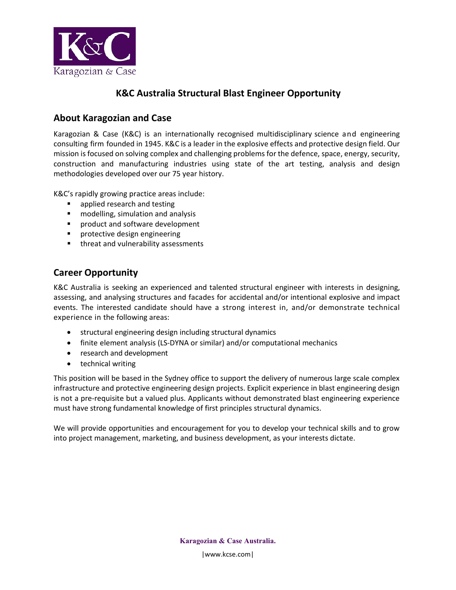

## **K&C Australia Structural Blast Engineer Opportunity**

## **About Karagozian and Case**

Karagozian & Case (K&C) is an internationally recognised multidisciplinary science and engineering consulting firm founded in 1945. K&C is a leader in the explosive effects and protective design field. Our mission is focused on solving complex and challenging problems for the defence, space, energy, security, construction and manufacturing industries using state of the art testing, analysis and design methodologies developed over our 75 year history.

K&C's rapidly growing practice areas include:

- **•** applied research and testing
- **n** modelling, simulation and analysis
- **Peroduct and software development**
- **•** protective design engineering
- **threat and vulnerability assessments**

## **Career Opportunity**

K&C Australia is seeking an experienced and talented structural engineer with interests in designing, assessing, and analysing structures and facades for accidental and/or intentional explosive and impact events. The interested candidate should have a strong interest in, and/or demonstrate technical experience in the following areas:

- structural engineering design including structural dynamics
- finite element analysis (LS-DYNA or similar) and/or computational mechanics
- research and development
- technical writing

This position will be based in the Sydney office to support the delivery of numerous large scale complex infrastructure and protective engineering design projects. Explicit experience in blast engineering design is not a pre-requisite but a valued plus. Applicants without demonstrated blast engineering experience must have strong fundamental knowledge of first principles structural dynamics.

We will provide opportunities and encouragement for you to develop your technical skills and to grow into project management, marketing, and business development, as your interests dictate.

> **Karagozian & Case Australia.** |www.kcse.com|